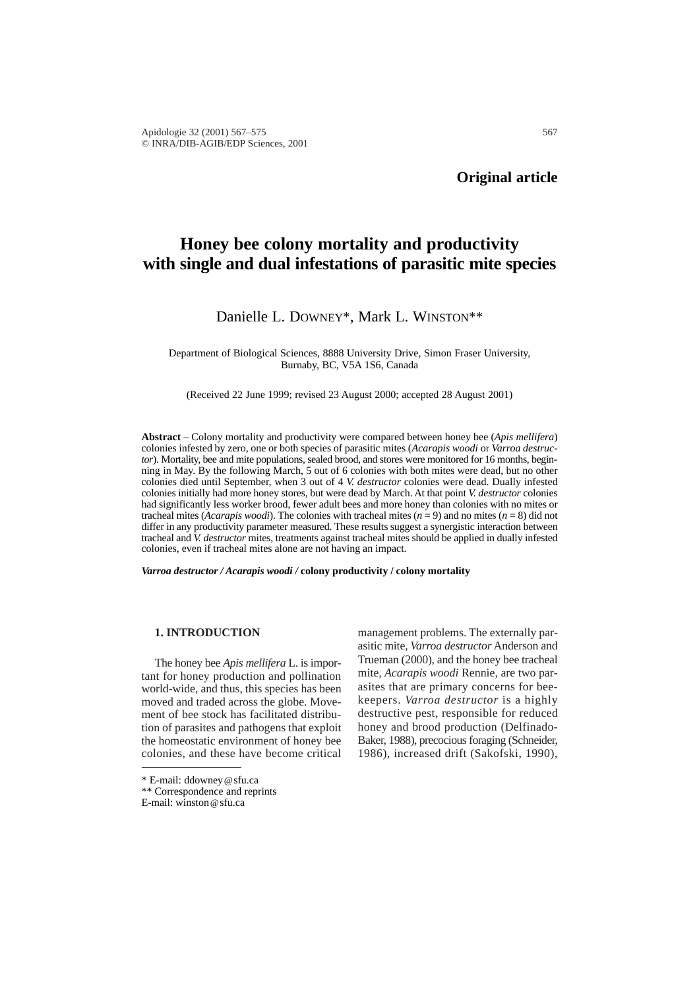# **Honey bee colony mortality and productivity with single and dual infestations of parasitic mite species**

## Danielle L. DOWNEY\*, Mark L. WINSTON\*\*

Department of Biological Sciences, 8888 University Drive, Simon Fraser University, Burnaby, BC, V5A 1S6, Canada

(Received 22 June 1999; revised 23 August 2000; accepted 28 August 2001)

**Abstract** – Colony mortality and productivity were compared between honey bee (*Apis mellifera*) colonies infested by zero, one or both species of parasitic mites (*Acarapis woodi* or *Varroa destructor*). Mortality, bee and mite populations, sealed brood, and stores were monitored for 16 months, beginning in May. By the following March, 5 out of 6 colonies with both mites were dead, but no other colonies died until September, when 3 out of 4 *V. destructor* colonies were dead. Dually infested colonies initially had more honey stores, but were dead by March. At that point *V. destructor* colonies had significantly less worker brood, fewer adult bees and more honey than colonies with no mites or tracheal mites (*Acarapis woodi*). The colonies with tracheal mites (*n* = 9) and no mites (*n* = 8) did not differ in any productivity parameter measured. These results suggest a synergistic interaction between tracheal and *V. destructor* mites, treatments against tracheal mites should be applied in dually infested colonies, even if tracheal mites alone are not having an impact.

*Varroa destructor / Acarapis woodi /* **colony productivity / colony mortality** 

## **1. INTRODUCTION**

The honey bee *Apis mellifera* L. is important for honey production and pollination world-wide, and thus, this species has been moved and traded across the globe. Movement of bee stock has facilitated distribution of parasites and pathogens that exploit the homeostatic environment of honey bee colonies, and these have become critical

\* E-mail: ddowney@sfu.ca

E-mail: winston@sfu.ca

management problems. The externally parasitic mite, *Varroa destructor* Anderson and Trueman (2000), and the honey bee tracheal mite*, Acarapis woodi* Rennie*,* are two parasites that are primary concerns for beekeepers. *Varroa destructor* is a highly destructive pest, responsible for reduced honey and brood production (Delfinado-Baker, 1988), precocious foraging (Schneider, 1986), increased drift (Sakofski, 1990),

<sup>\*\*</sup> Correspondence and reprints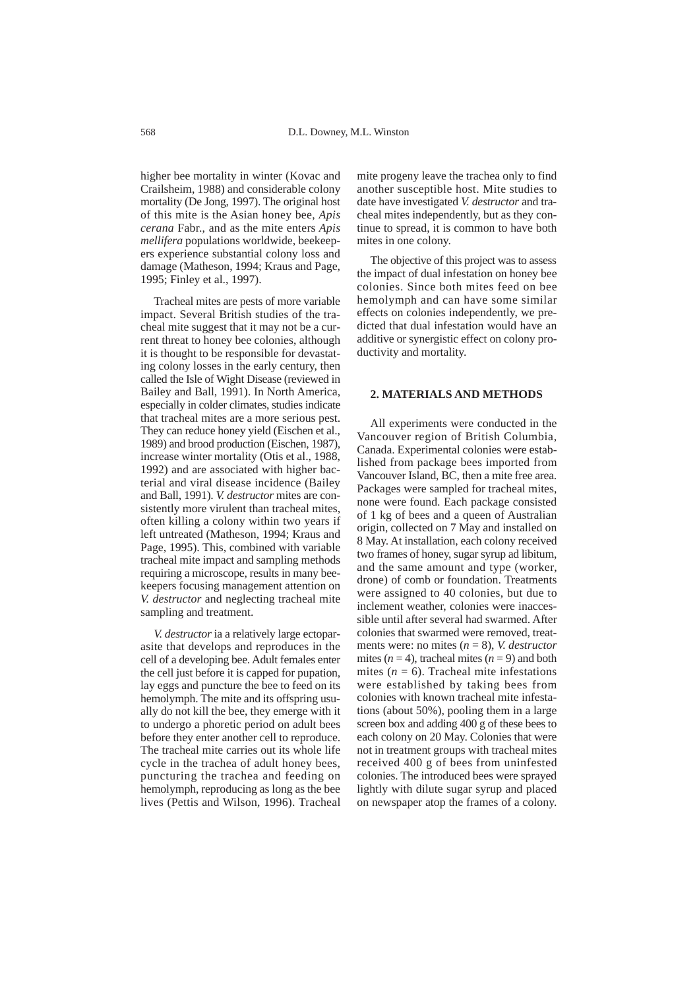higher bee mortality in winter (Kovac and Crailsheim, 1988) and considerable colony mortality (De Jong, 1997). The original host of this mite is the Asian honey bee, *Apis cerana* Fabr., and as the mite enters *Apis mellifera* populations worldwide, beekeepers experience substantial colony loss and damage (Matheson, 1994; Kraus and Page, 1995; Finley et al., 1997).

Tracheal mites are pests of more variable impact. Several British studies of the tracheal mite suggest that it may not be a current threat to honey bee colonies, although it is thought to be responsible for devastating colony losses in the early century, then called the Isle of Wight Disease (reviewed in Bailey and Ball, 1991). In North America, especially in colder climates, studies indicate that tracheal mites are a more serious pest. They can reduce honey yield (Eischen et al., 1989) and brood production (Eischen, 1987), increase winter mortality (Otis et al., 1988, 1992) and are associated with higher bacterial and viral disease incidence (Bailey and Ball, 1991). *V. destructor* mites are consistently more virulent than tracheal mites, often killing a colony within two years if left untreated (Matheson, 1994; Kraus and Page, 1995). This, combined with variable tracheal mite impact and sampling methods requiring a microscope, results in many beekeepers focusing management attention on *V. destructor* and neglecting tracheal mite sampling and treatment.

*V. destructor* ia a relatively large ectoparasite that develops and reproduces in the cell of a developing bee. Adult females enter the cell just before it is capped for pupation, lay eggs and puncture the bee to feed on its hemolymph. The mite and its offspring usually do not kill the bee, they emerge with it to undergo a phoretic period on adult bees before they enter another cell to reproduce. The tracheal mite carries out its whole life cycle in the trachea of adult honey bees, puncturing the trachea and feeding on hemolymph, reproducing as long as the bee lives (Pettis and Wilson, 1996). Tracheal mite progeny leave the trachea only to find another susceptible host. Mite studies to date have investigated *V. destructor* and tracheal mites independently, but as they continue to spread, it is common to have both mites in one colony.

The objective of this project was to assess the impact of dual infestation on honey bee colonies. Since both mites feed on bee hemolymph and can have some similar effects on colonies independently, we predicted that dual infestation would have an additive or synergistic effect on colony productivity and mortality.

### **2. MATERIALS AND METHODS**

All experiments were conducted in the Vancouver region of British Columbia, Canada. Experimental colonies were established from package bees imported from Vancouver Island, BC, then a mite free area. Packages were sampled for tracheal mites, none were found. Each package consisted of 1 kg of bees and a queen of Australian origin, collected on 7 May and installed on 8 May. At installation, each colony received two frames of honey, sugar syrup ad libitum, and the same amount and type (worker, drone) of comb or foundation. Treatments were assigned to 40 colonies, but due to inclement weather, colonies were inaccessible until after several had swarmed. After colonies that swarmed were removed, treatments were: no mites (*n* = 8), *V. destructor* mites  $(n = 4)$ , tracheal mites  $(n = 9)$  and both mites  $(n = 6)$ . Tracheal mite infestations were established by taking bees from colonies with known tracheal mite infestations (about 50%), pooling them in a large screen box and adding 400 g of these bees to each colony on 20 May. Colonies that were not in treatment groups with tracheal mites received 400 g of bees from uninfested colonies. The introduced bees were sprayed lightly with dilute sugar syrup and placed on newspaper atop the frames of a colony.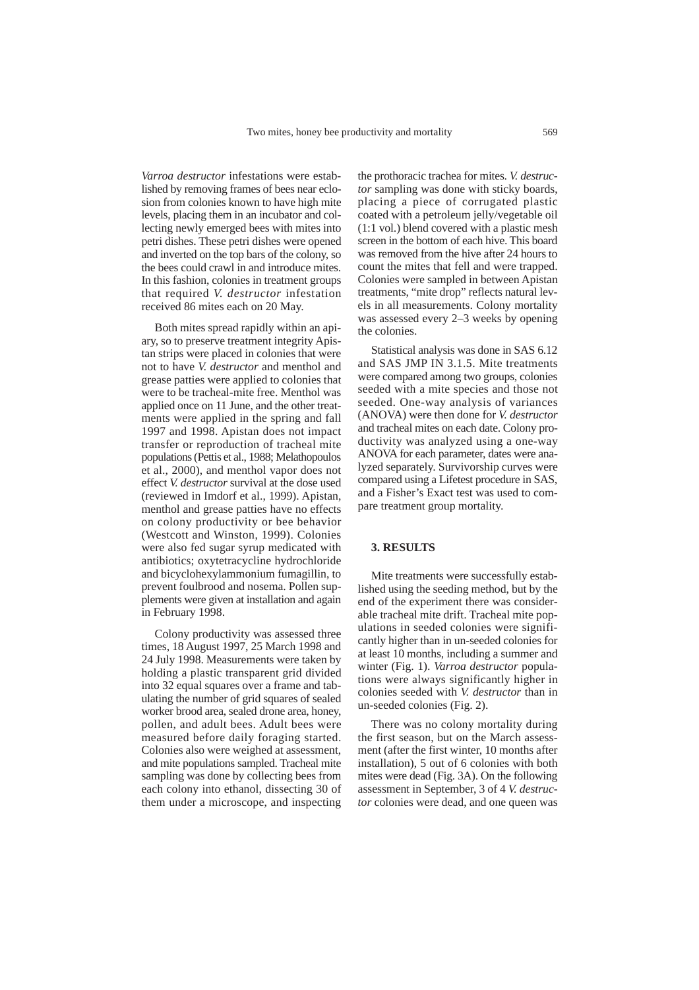*Varroa destructor* infestations were established by removing frames of bees near eclosion from colonies known to have high mite levels, placing them in an incubator and collecting newly emerged bees with mites into petri dishes. These petri dishes were opened and inverted on the top bars of the colony, so the bees could crawl in and introduce mites. In this fashion, colonies in treatment groups that required *V. destructor* infestation received 86 mites each on 20 May.

Both mites spread rapidly within an apiary, so to preserve treatment integrity Apistan strips were placed in colonies that were not to have *V. destructor* and menthol and grease patties were applied to colonies that were to be tracheal-mite free. Menthol was applied once on 11 June, and the other treatments were applied in the spring and fall 1997 and 1998. Apistan does not impact transfer or reproduction of tracheal mite populations (Pettis et al., 1988; Melathopoulos et al., 2000), and menthol vapor does not effect *V. destructor* survival at the dose used (reviewed in Imdorf et al., 1999). Apistan, menthol and grease patties have no effects on colony productivity or bee behavior (Westcott and Winston, 1999). Colonies were also fed sugar syrup medicated with antibiotics; oxytetracycline hydrochloride and bicyclohexylammonium fumagillin, to prevent foulbrood and nosema. Pollen supplements were given at installation and again in February 1998.

Colony productivity was assessed three times, 18 August 1997, 25 March 1998 and 24 July 1998. Measurements were taken by holding a plastic transparent grid divided into 32 equal squares over a frame and tabulating the number of grid squares of sealed worker brood area, sealed drone area, honey, pollen, and adult bees. Adult bees were measured before daily foraging started. Colonies also were weighed at assessment, and mite populations sampled. Tracheal mite sampling was done by collecting bees from each colony into ethanol, dissecting 30 of them under a microscope, and inspecting

the prothoracic trachea for mites. *V. destructor* sampling was done with sticky boards, placing a piece of corrugated plastic coated with a petroleum jelly/vegetable oil (1:1 vol.) blend covered with a plastic mesh screen in the bottom of each hive. This board was removed from the hive after 24 hours to count the mites that fell and were trapped. Colonies were sampled in between Apistan treatments, "mite drop" reflects natural levels in all measurements. Colony mortality was assessed every 2–3 weeks by opening the colonies.

Statistical analysis was done in SAS 6.12 and SAS JMP IN 3.1.5. Mite treatments were compared among two groups, colonies seeded with a mite species and those not seeded. One-way analysis of variances (ANOVA) were then done for *V. destructor* and tracheal mites on each date. Colony productivity was analyzed using a one-way ANOVA for each parameter, dates were analyzed separately. Survivorship curves were compared using a Lifetest procedure in SAS, and a Fisher's Exact test was used to compare treatment group mortality.

#### **3. RESULTS**

Mite treatments were successfully established using the seeding method, but by the end of the experiment there was considerable tracheal mite drift. Tracheal mite populations in seeded colonies were significantly higher than in un-seeded colonies for at least 10 months, including a summer and winter (Fig. 1). *Varroa destructor* populations were always significantly higher in colonies seeded with *V. destructor* than in un-seeded colonies (Fig. 2).

There was no colony mortality during the first season, but on the March assessment (after the first winter, 10 months after installation), 5 out of 6 colonies with both mites were dead (Fig. 3A). On the following assessment in September, 3 of 4 *V. destructor* colonies were dead, and one queen was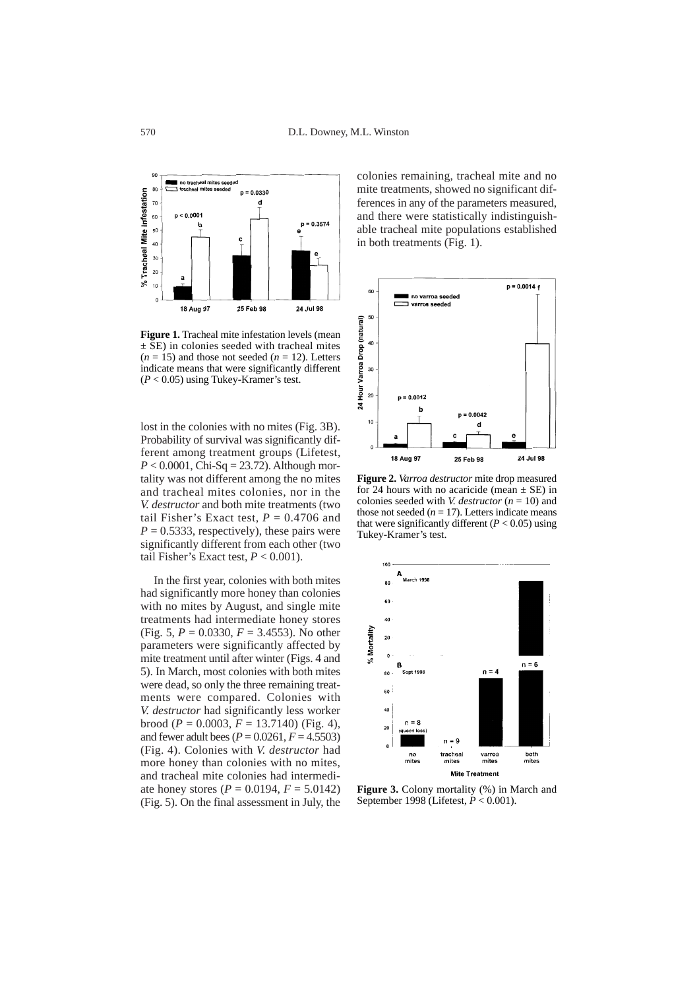

**Figure 1.** Tracheal mite infestation levels (mean  $\pm$  SE) in colonies seeded with tracheal mites  $(n = 15)$  and those not seeded  $(n = 12)$ . Letters indicate means that were significantly different (*P* < 0.05) using Tukey-Kramer's test.

lost in the colonies with no mites (Fig. 3B). Probability of survival was significantly different among treatment groups (Lifetest,  $P < 0.0001$ , Chi-Sq = 23.72). Although mortality was not different among the no mites and tracheal mites colonies, nor in the *V. destructor* and both mite treatments (two tail Fisher's Exact test,  $P = 0.4706$  and  $P = 0.5333$ , respectively), these pairs were significantly different from each other (two tail Fisher's Exact test,  $P < 0.001$ ).

In the first year, colonies with both mites had significantly more honey than colonies with no mites by August, and single mite treatments had intermediate honey stores (Fig. 5, *P* = 0.0330, *F* = 3.4553). No other parameters were significantly affected by mite treatment until after winter (Figs. 4 and 5). In March, most colonies with both mites were dead, so only the three remaining treatments were compared. Colonies with *V. destructor* had significantly less worker brood ( $P = 0.0003$ ,  $F = 13.7140$ ) (Fig. 4), and fewer adult bees (*P* = 0.0261, *F* = 4.5503) (Fig. 4). Colonies with *V. destructor* had more honey than colonies with no mites, and tracheal mite colonies had intermediate honey stores ( $P = 0.0194$ ,  $F = 5.0142$ ) (Fig. 5). On the final assessment in July, the

colonies remaining, tracheal mite and no mite treatments, showed no significant differences in any of the parameters measured, and there were statistically indistinguishable tracheal mite populations established in both treatments (Fig. 1).



**Figure 2.** *Varroa destructor* mite drop measured for 24 hours with no acaricide (mean  $\pm$  SE) in colonies seeded with *V. destructor* (*n* = 10) and those not seeded  $(n = 17)$ . Letters indicate means that were significantly different  $(P < 0.05)$  using Tukey-Kramer's test.



**Figure 3.** Colony mortality (%) in March and September 1998 (Lifetest, *P* < 0.001).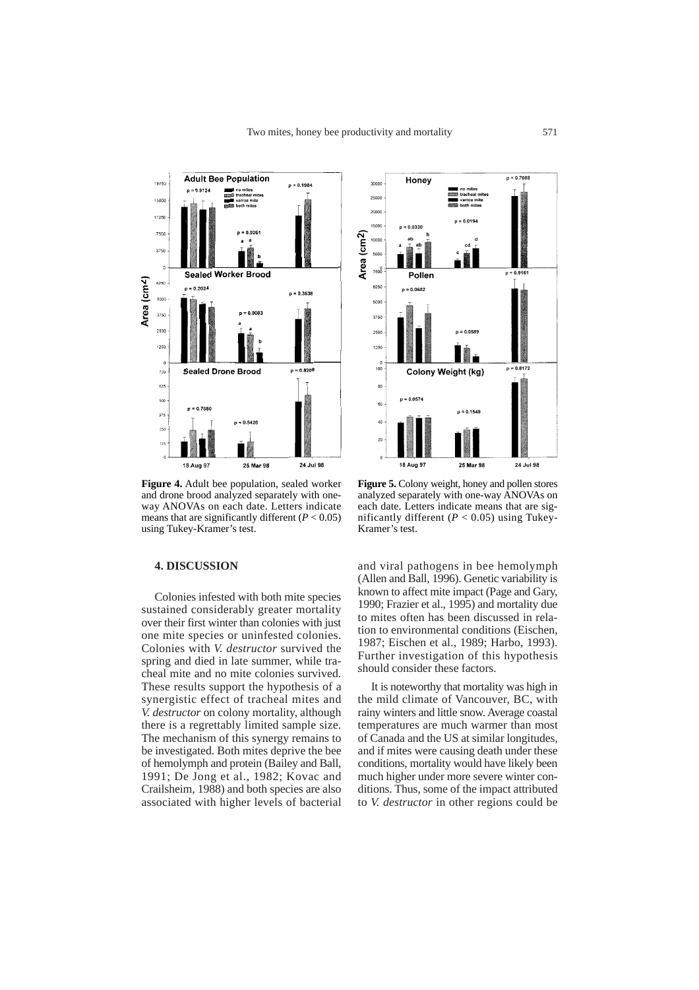

**Figure 4.** Adult bee population, sealed worker and drone brood analyzed separately with oneway ANOVAs on each date. Letters indicate means that are significantly different  $(P < 0.05)$ using Tukey-Kramer's test.

#### **4. DISCUSSION**

Colonies infested with both mite species sustained considerably greater mortality over their first winter than colonies with just one mite species or uninfested colonies. Colonies with *V. destructor* survived the spring and died in late summer, while tracheal mite and no mite colonies survived. These results support the hypothesis of a synergistic effect of tracheal mites and *V. destructor* on colony mortality, although there is a regrettably limited sample size. The mechanism of this synergy remains to be investigated. Both mites deprive the bee of hemolymph and protein (Bailey and Ball, 1991; De Jong et al., 1982; Kovac and Crailsheim, 1988) and both species are also associated with higher levels of bacterial



**Figure 5.** Colony weight, honey and pollen stores analyzed separately with one-way ANOVAs on each date. Letters indicate means that are significantly different  $(P < 0.05)$  using Tukey-Kramer's test.

and viral pathogens in bee hemolymph (Allen and Ball, 1996). Genetic variability is known to affect mite impact (Page and Gary, 1990; Frazier et al., 1995) and mortality due to mites often has been discussed in relation to environmental conditions (Eischen, 1987; Eischen et al., 1989; Harbo, 1993). Further investigation of this hypothesis should consider these factors.

It is noteworthy that mortality was high in the mild climate of Vancouver, BC, with rainy winters and little snow. Average coastal temperatures are much warmer than most of Canada and the US at similar longitudes, and if mites were causing death under these conditions, mortality would have likely been much higher under more severe winter conditions. Thus, some of the impact attributed to *V. destructor* in other regions could be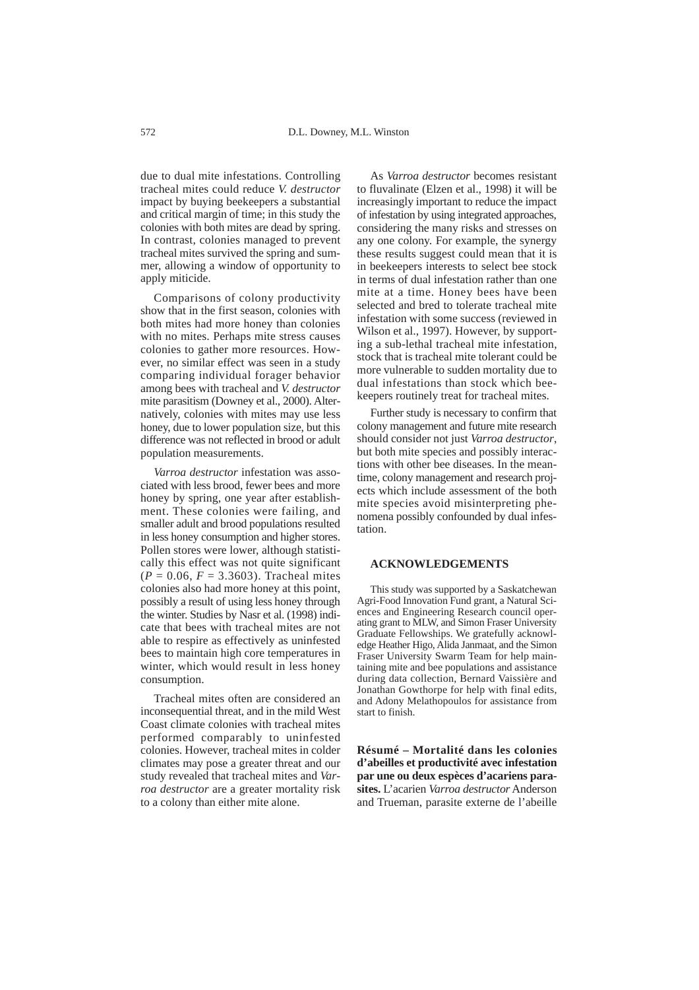due to dual mite infestations. Controlling tracheal mites could reduce *V. destructor* impact by buying beekeepers a substantial and critical margin of time; in this study the colonies with both mites are dead by spring. In contrast, colonies managed to prevent tracheal mites survived the spring and summer, allowing a window of opportunity to apply miticide.

Comparisons of colony productivity show that in the first season, colonies with both mites had more honey than colonies with no mites. Perhaps mite stress causes colonies to gather more resources. However, no similar effect was seen in a study comparing individual forager behavior among bees with tracheal and *V. destructor* mite parasitism (Downey et al., 2000). Alternatively, colonies with mites may use less honey, due to lower population size, but this difference was not reflected in brood or adult population measurements.

*Varroa destructor* infestation was associated with less brood, fewer bees and more honey by spring, one year after establishment. These colonies were failing, and smaller adult and brood populations resulted in less honey consumption and higher stores. Pollen stores were lower, although statistically this effect was not quite significant  $(P = 0.06, F = 3.3603)$ . Tracheal mites colonies also had more honey at this point, possibly a result of using less honey through the winter. Studies by Nasr et al. (1998) indicate that bees with tracheal mites are not able to respire as effectively as uninfested bees to maintain high core temperatures in winter, which would result in less honey consumption.

Tracheal mites often are considered an inconsequential threat, and in the mild West Coast climate colonies with tracheal mites performed comparably to uninfested colonies. However, tracheal mites in colder climates may pose a greater threat and our study revealed that tracheal mites and *Varroa destructor* are a greater mortality risk to a colony than either mite alone.

As *Varroa destructor* becomes resistant to fluvalinate (Elzen et al., 1998) it will be increasingly important to reduce the impact of infestation by using integrated approaches, considering the many risks and stresses on any one colony. For example, the synergy these results suggest could mean that it is in beekeepers interests to select bee stock in terms of dual infestation rather than one mite at a time. Honey bees have been selected and bred to tolerate tracheal mite infestation with some success (reviewed in Wilson et al., 1997). However, by supporting a sub-lethal tracheal mite infestation, stock that is tracheal mite tolerant could be more vulnerable to sudden mortality due to dual infestations than stock which beekeepers routinely treat for tracheal mites.

Further study is necessary to confirm that colony management and future mite research should consider not just *Varroa destructor*, but both mite species and possibly interactions with other bee diseases. In the meantime, colony management and research projects which include assessment of the both mite species avoid misinterpreting phenomena possibly confounded by dual infestation.

#### **ACKNOWLEDGEMENTS**

This study was supported by a Saskatchewan Agri-Food Innovation Fund grant, a Natural Sciences and Engineering Research council operating grant to MLW, and Simon Fraser University Graduate Fellowships. We gratefully acknowledge Heather Higo, Alida Janmaat, and the Simon Fraser University Swarm Team for help maintaining mite and bee populations and assistance during data collection, Bernard Vaissière and Jonathan Gowthorpe for help with final edits, and Adony Melathopoulos for assistance from start to finish.

**Résumé – Mortalité dans les colonies d'abeilles et productivité avec infestation par une ou deux espèces d'acariens parasites.** L'acarien *Varroa destructor* Anderson and Trueman, parasite externe de l'abeille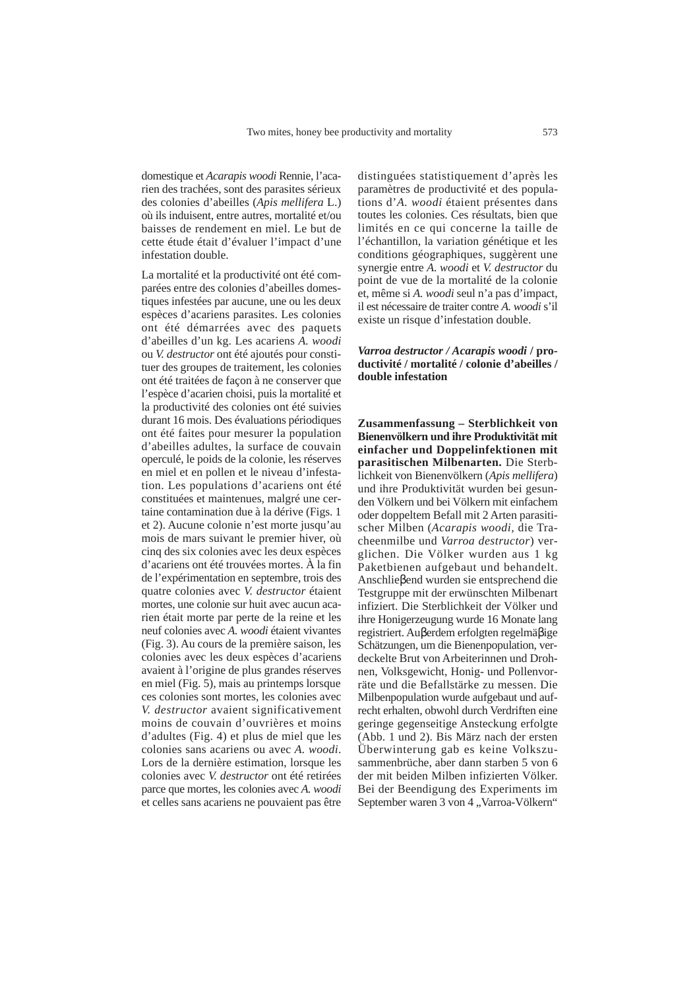domestique et *Acarapis woodi* Rennie, l'acarien des trachées, sont des parasites sérieux des colonies d'abeilles (*Apis mellifera* L.) où ils induisent, entre autres, mortalité et/ou baisses de rendement en miel. Le but de cette étude était d'évaluer l'impact d'une infestation double.

La mortalité et la productivité ont été comparées entre des colonies d'abeilles domestiques infestées par aucune, une ou les deux espèces d'acariens parasites. Les colonies ont été démarrées avec des paquets d'abeilles d'un kg. Les acariens *A. woodi* ou *V. destructor* ont été ajoutés pour constituer des groupes de traitement, les colonies ont été traitées de façon à ne conserver que l'espèce d'acarien choisi, puis la mortalité et la productivité des colonies ont été suivies durant 16 mois. Des évaluations périodiques ont été faites pour mesurer la population d'abeilles adultes, la surface de couvain operculé, le poids de la colonie, les réserves en miel et en pollen et le niveau d'infestation. Les populations d'acariens ont été constituées et maintenues, malgré une certaine contamination due à la dérive (Figs. 1 et 2). Aucune colonie n'est morte jusqu'au mois de mars suivant le premier hiver, où cinq des six colonies avec les deux espèces d'acariens ont été trouvées mortes. À la fin de l'expérimentation en septembre, trois des quatre colonies avec *V. destructor* étaient mortes, une colonie sur huit avec aucun acarien était morte par perte de la reine et les neuf colonies avec *A. woodi* étaient vivantes (Fig. 3). Au cours de la première saison, les colonies avec les deux espèces d'acariens avaient à l'origine de plus grandes réserves en miel (Fig. 5), mais au printemps lorsque ces colonies sont mortes, les colonies avec *V. destructor* avaient significativement moins de couvain d'ouvrières et moins d'adultes (Fig. 4) et plus de miel que les colonies sans acariens ou avec *A. woodi*. Lors de la dernière estimation, lorsque les colonies avec *V. destructor* ont été retirées parce que mortes, les colonies avec *A. woodi* et celles sans acariens ne pouvaient pas être

distinguées statistiquement d'après les paramètres de productivité et des populations d'*A. woodi* étaient présentes dans toutes les colonies. Ces résultats, bien que limités en ce qui concerne la taille de l'échantillon, la variation génétique et les conditions géographiques, suggèrent une synergie entre *A. woodi* et *V. destructor* du point de vue de la mortalité de la colonie et, même si *A. woodi* seul n'a pas d'impact, il est nécessaire de traiter contre *A. woodi* s'il existe un risque d'infestation double.

## *Varroa destructor / Acarapis woodi* **/ productivité / mortalité / colonie d'abeilles / double infestation**

**Zusammenfassung – Sterblichkeit von Bienenvölkern und ihre Produktivität mit einfacher und Doppelinfektionen mit parasitischen Milbenarten.** Die Sterblichkeit von Bienenvölkern (*Apis mellifera*) und ihre Produktivität wurden bei gesunden Völkern und bei Völkern mit einfachem oder doppeltem Befall mit 2 Arten parasitischer Milben (*Acarapis woodi,* die Tracheenmilbe und *Varroa destructor*) verglichen. Die Völker wurden aus 1 kg Paketbienen aufgebaut und behandelt. Anschlieβend wurden sie entsprechend die Testgruppe mit der erwünschten Milbenart infiziert. Die Sterblichkeit der Völker und ihre Honigerzeugung wurde 16 Monate lang registriert. Auβerdem erfolgten regelmäβige Schätzungen, um die Bienenpopulation, verdeckelte Brut von Arbeiterinnen und Drohnen, Volksgewicht, Honig- und Pollenvorräte und die Befallstärke zu messen. Die Milbenpopulation wurde aufgebaut und aufrecht erhalten, obwohl durch Verdriften eine geringe gegenseitige Ansteckung erfolgte (Abb. 1 und 2). Bis März nach der ersten Überwinterung gab es keine Volkszusammenbrüche, aber dann starben 5 von 6 der mit beiden Milben infizierten Völker. Bei der Beendigung des Experiments im September waren 3 von 4 "Varroa-Völkern"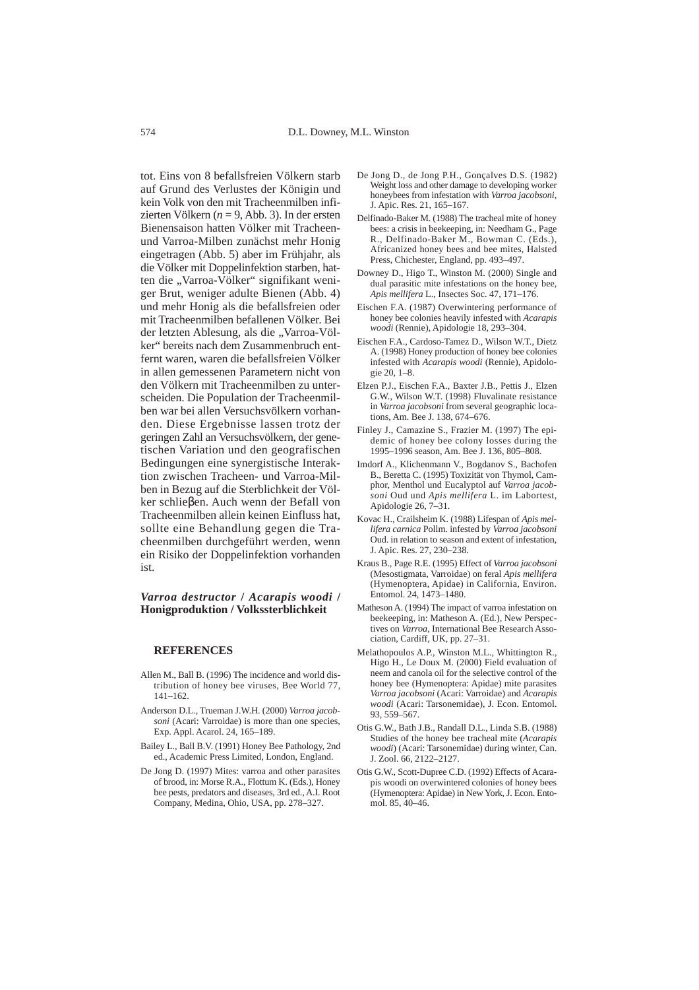tot. Eins von 8 befallsfreien Völkern starb auf Grund des Verlustes der Königin und kein Volk von den mit Tracheenmilben infizierten Völkern (*n* = 9, Abb. 3). In der ersten Bienensaison hatten Völker mit Tracheenund Varroa-Milben zunächst mehr Honig eingetragen (Abb. 5) aber im Frühjahr, als die Völker mit Doppelinfektion starben, hatten die "Varroa-Völker" signifikant weniger Brut, weniger adulte Bienen (Abb. 4) und mehr Honig als die befallsfreien oder mit Tracheenmilben befallenen Völker. Bei der letzten Ablesung, als die "Varroa-Völker" bereits nach dem Zusammenbruch entfernt waren, waren die befallsfreien Völker in allen gemessenen Parametern nicht von den Völkern mit Tracheenmilben zu unterscheiden. Die Population der Tracheenmilben war bei allen Versuchsvölkern vorhanden. Diese Ergebnisse lassen trotz der geringen Zahl an Versuchsvölkern, der genetischen Variation und den geografischen Bedingungen eine synergistische Interaktion zwischen Tracheen- und Varroa-Milben in Bezug auf die Sterblichkeit der Völker schlieβen. Auch wenn der Befall von Tracheenmilben allein keinen Einfluss hat, sollte eine Behandlung gegen die Tracheenmilben durchgeführt werden, wenn ein Risiko der Doppelinfektion vorhanden ist.

*Varroa destructor* **/** *Acarapis woodi* **/ Honigproduktion / Volkssterblichkeit** 

## **REFERENCES**

- Allen M., Ball B. (1996) The incidence and world distribution of honey bee viruses, Bee World 77, 141–162.
- Anderson D.L., Trueman J.W.H. (2000) *Varroa jacobsoni* (Acari: Varroidae) is more than one species, Exp. Appl. Acarol. 24, 165–189.
- Bailey L., Ball B.V. (1991) Honey Bee Pathology, 2nd ed., Academic Press Limited, London, England.
- De Jong D. (1997) Mites: varroa and other parasites of brood, in: Morse R.A., Flottum K. (Eds.), Honey bee pests, predators and diseases, 3rd ed., A.I. Root Company, Medina, Ohio, USA, pp. 278–327.
- De Jong D., de Jong P.H., Gonçalves D.S. (1982) Weight loss and other damage to developing worker honeybees from infestation with *Varroa jacobsoni*, J. Apic. Res. 21, 165–167.
- Delfinado-Baker M. (1988) The tracheal mite of honey bees: a crisis in beekeeping, in: Needham G., Page R., Delfinado-Baker M., Bowman C. (Eds.), Africanized honey bees and bee mites, Halsted Press, Chichester, England, pp. 493–497.
- Downey D., Higo T., Winston M. (2000) Single and dual parasitic mite infestations on the honey bee, *Apis mellifera* L., Insectes Soc. 47, 171–176.
- Eischen F.A. (1987) Overwintering performance of honey bee colonies heavily infested with *Acarapis woodi* (Rennie), Apidologie 18, 293–304.
- Eischen F.A., Cardoso-Tamez D., Wilson W.T., Dietz A. (1998) Honey production of honey bee colonies infested with *Acarapis woodi* (Rennie), Apidologie 20, 1–8.
- Elzen P.J., Eischen F.A., Baxter J.B., Pettis J., Elzen G.W., Wilson W.T. (1998) Fluvalinate resistance in *Varroa jacobsoni* from several geographic locations, Am. Bee J. 138, 674–676.
- Finley J., Camazine S., Frazier M. (1997) The epidemic of honey bee colony losses during the 1995–1996 season, Am. Bee J. 136, 805–808.
- Imdorf A., Klichenmann V., Bogdanov S., Bachofen B., Beretta C. (1995) Toxizität von Thymol, Camphor, Menthol und Eucalyptol auf *Varroa jacobsoni* Oud und *Apis mellifera* L. im Labortest, Apidologie 26, 7–31.
- Kovac H., Crailsheim K. (1988) Lifespan of *Apis mellifera carnica* Pollm. infested by *Varroa jacobsoni* Oud. in relation to season and extent of infestation, J. Apic. Res. 27, 230–238.
- Kraus B., Page R.E. (1995) Effect of *Varroa jacobsoni* (Mesostigmata, Varroidae) on feral *Apis mellifera* (Hymenoptera, Apidae) in California, Environ. Entomol. 24, 1473–1480.
- Matheson A. (1994) The impact of varroa infestation on beekeeping, in: Matheson A. (Ed.), New Perspectives on *Varroa*, International Bee Research Association, Cardiff, UK, pp. 27–31.
- Melathopoulos A.P., Winston M.L., Whittington R., Higo H., Le Doux M. (2000) Field evaluation of neem and canola oil for the selective control of the honey bee (Hymenoptera: Apidae) mite parasites *Varroa jacobsoni* (Acari: Varroidae) and *Acarapis woodi* (Acari: Tarsonemidae), J. Econ. Entomol. 93, 559–567.
- Otis G.W., Bath J.B., Randall D.L., Linda S.B. (1988) Studies of the honey bee tracheal mite (*Acarapis woodi*) (Acari: Tarsonemidae) during winter, Can. J. Zool. 66, 2122–2127.
- Otis G.W., Scott-Dupree C.D. (1992) Effects of Acarapis woodi on overwintered colonies of honey bees (Hymenoptera: Apidae) in New York, J. Econ. Entomol. 85, 40–46.